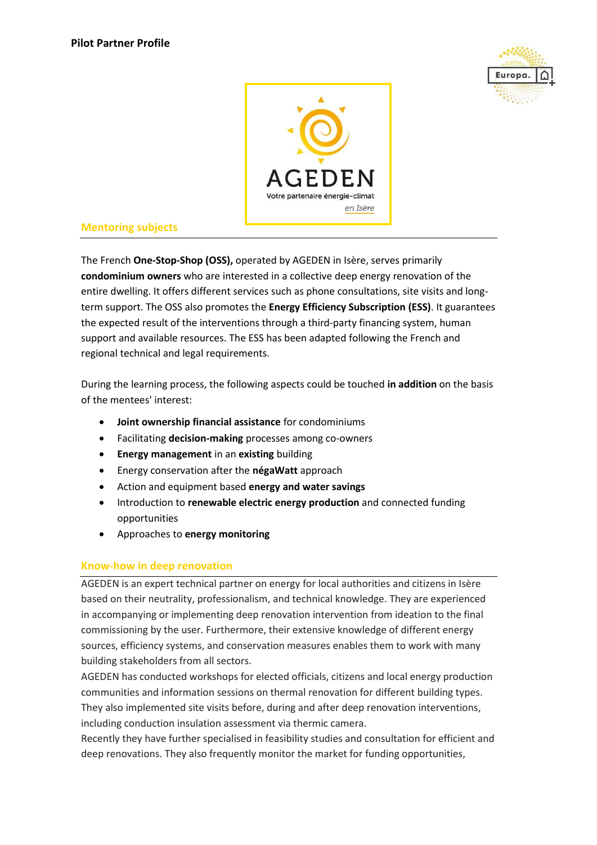



## **Mentoring subjects**

The French **One-Stop-Shop (OSS),** operated by AGEDEN in Isère, serves primarily **condominium owners** who are interested in a collective deep energy renovation of the entire dwelling. It offers different services such as phone consultations, site visits and longterm support. The OSS also promotes the **Energy Efficiency Subscription (ESS)**. It guarantees the expected result of the interventions through a third-party financing system, human support and available resources. The ESS has been adapted following the French and regional technical and legal requirements.

During the learning process, the following aspects could be touched **in addition** on the basis of the mentees' interest:

- **Joint ownership financial assistance** for condominiums
- Facilitating **decision-making** processes among co-owners
- **Energy management** in an **existing** building
- Energy conservation after the **négaWatt** approach
- Action and equipment based **energy and water savings**
- **•** Introduction to **renewable electric energy production** and connected funding opportunities
- Approaches to **energy monitoring**

## **Know-how in deep renovation**

AGEDEN is an expert technical partner on energy for local authorities and citizens in Isère based on their neutrality, professionalism, and technical knowledge. They are experienced in accompanying or implementing deep renovation intervention from ideation to the final commissioning by the user. Furthermore, their extensive knowledge of different energy sources, efficiency systems, and conservation measures enables them to work with many building stakeholders from all sectors.

AGEDEN has conducted workshops for elected officials, citizens and local energy production communities and information sessions on thermal renovation for different building types. They also implemented site visits before, during and after deep renovation interventions, including conduction insulation assessment via thermic camera.

Recently they have further specialised in feasibility studies and consultation for efficient and deep renovations. They also frequently monitor the market for funding opportunities,